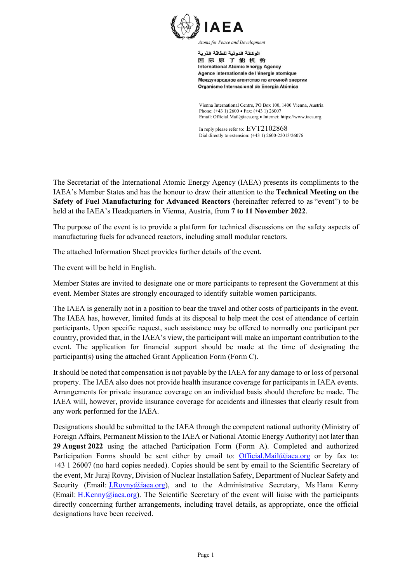

اله كالة الده لبة للطاقة الذرية 国际原子能机构 **International Atomic Energy Agency** Agence internationale de l'énergie atomique Международное агентство по атомной энергии Organismo Internacional de Energía Atómica

Vienna International Centre, PO Box 100, 1400 Vienna, Austria Phone: (+43 1) 2600 • Fax: (+43 1) 26007 Email: Official.Mail@iaea.org · Internet: https://www.iaea.org

In reply please refer to: EVT2102868 Dial directly to extension: (+43 1) 2600-22013/26076

The Secretariat of the International Atomic Energy Agency (IAEA) presents its compliments to the IAEA's Member States and has the honour to draw their attention to the **Technical Meeting on the Safety of Fuel Manufacturing for Advanced Reactors** (hereinafter referred to as "event") to be held at the IAEA's Headquarters in Vienna, Austria, from **7 to 11 November 2022**.

The purpose of the event is to provide a platform for technical discussions on the safety aspects of manufacturing fuels for advanced reactors, including small modular reactors.

The attached Information Sheet provides further details of the event.

The event will be held in English.

Member States are invited to designate one or more participants to represent the Government at this event. Member States are strongly encouraged to identify suitable women participants.

The IAEA is generally not in a position to bear the travel and other costs of participants in the event. The IAEA has, however, limited funds at its disposal to help meet the cost of attendance of certain participants. Upon specific request, such assistance may be offered to normally one participant per country, provided that, in the IAEA's view, the participant will make an important contribution to the event. The application for financial support should be made at the time of designating the participant(s) using the attached Grant Application Form (Form C).

It should be noted that compensation is not payable by the IAEA for any damage to or loss of personal property. The IAEA also does not provide health insurance coverage for participants in IAEA events. Arrangements for private insurance coverage on an individual basis should therefore be made. The IAEA will, however, provide insurance coverage for accidents and illnesses that clearly result from any work performed for the IAEA.

Designations should be submitted to the IAEA through the competent national authority (Ministry of Foreign Affairs, Permanent Mission to the IAEA or National Atomic Energy Authority) not later than **29 August 2022** using the attached Participation Form (Form A). Completed and authorized Participation Forms should be sent either by email to: Official.Mail@iaea.org or by fax to: +43 1 26007 (no hard copies needed). Copies should be sent by email to the Scientific Secretary of the event, Mr Juraj Rovny, Division of Nuclear Installation Safety, Department of Nuclear Safety and Security (Email:  $J.Rovny@iaea.org$ ), and to the Administrative Secretary, Ms Hana Kenny (Email: H.Kenny@iaea.org). The Scientific Secretary of the event will liaise with the participants directly concerning further arrangements, including travel details, as appropriate, once the official designations have been received.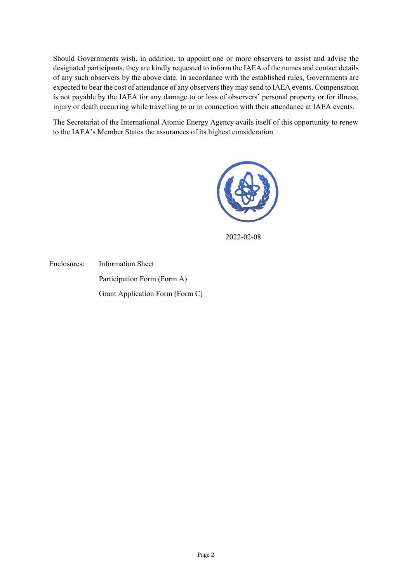Should Governments wish, in addition, to appoint one or more observers to assist and advise the designated participants, they are kindly requested to inform the IAEA of the names and contact details of any such observers by the above date. In accordance with the established rules, Governments are expected to bear the cost of attendance of any observers they may send to IAEA events. Compensation is not payable by the IAEA for any damage to or loss of observers' personal property or for illness, injury or death occurring while travelling to or in connection with their attendance at IAEA events.

The Secretariat of the International Atomic Energy Agency avails itself of this opportunity to renew to the IAEA's Member States the assurances of its highest consideration.



2022-02-08

Enclosures: Information Sheet Participation Form (Form A) Grant Application Form (Form C)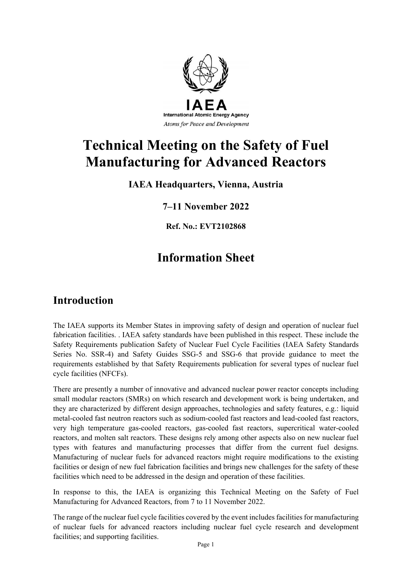

# **Technical Meeting on the Safety of Fuel Manufacturing for Advanced Reactors**

### **IAEA Headquarters, Vienna, Austria**

### **7–11 November 2022**

**Ref. No.: EVT2102868**

# **Information Sheet**

## **Introduction**

The IAEA supports its Member States in improving safety of design and operation of nuclear fuel fabrication facilities. . IAEA safety standards have been published in this respect. These include the Safety Requirements publication Safety of Nuclear Fuel Cycle Facilities (IAEA Safety Standards Series No. SSR-4) and Safety Guides SSG-5 and SSG-6 that provide guidance to meet the requirements established by that Safety Requirements publication for several types of nuclear fuel cycle facilities (NFCFs).

There are presently a number of innovative and advanced nuclear power reactor concepts including small modular reactors (SMRs) on which research and development work is being undertaken, and they are characterized by different design approaches, technologies and safety features, e.g.: liquid metal-cooled fast neutron reactors such as sodium-cooled fast reactors and lead-cooled fast reactors, very high temperature gas-cooled reactors, gas-cooled fast reactors, supercritical water-cooled reactors, and molten salt reactors. These designs rely among other aspects also on new nuclear fuel types with features and manufacturing processes that differ from the current fuel designs. Manufacturing of nuclear fuels for advanced reactors might require modifications to the existing facilities or design of new fuel fabrication facilities and brings new challenges for the safety of these facilities which need to be addressed in the design and operation of these facilities.

In response to this, the IAEA is organizing this Technical Meeting on the Safety of Fuel Manufacturing for Advanced Reactors, from 7 to 11 November 2022.

The range of the nuclear fuel cycle facilities covered by the event includes facilities for manufacturing of nuclear fuels for advanced reactors including nuclear fuel cycle research and development facilities; and supporting facilities.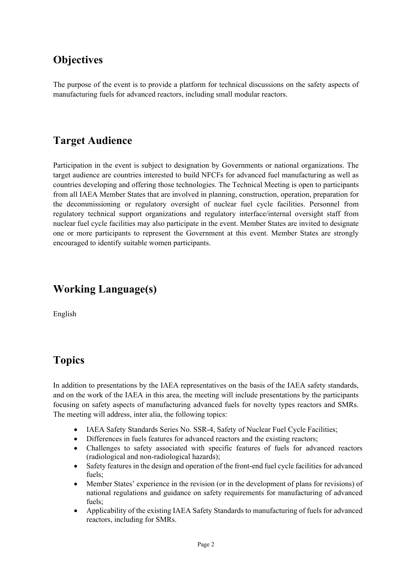# **Objectives**

The purpose of the event is to provide a platform for technical discussions on the safety aspects of manufacturing fuels for advanced reactors, including small modular reactors.

## **Target Audience**

Participation in the event is subject to designation by Governments or national organizations. The target audience are countries interested to build NFCFs for advanced fuel manufacturing as well as countries developing and offering those technologies. The Technical Meeting is open to participants from all IAEA Member States that are involved in planning, construction, operation, preparation for the decommissioning or regulatory oversight of nuclear fuel cycle facilities. Personnel from regulatory technical support organizations and regulatory interface/internal oversight staff from nuclear fuel cycle facilities may also participate in the event. Member States are invited to designate one or more participants to represent the Government at this event. Member States are strongly encouraged to identify suitable women participants.

# **Working Language(s)**

English

# **Topics**

In addition to presentations by the IAEA representatives on the basis of the IAEA safety standards, and on the work of the IAEA in this area, the meeting will include presentations by the participants focusing on safety aspects of manufacturing advanced fuels for novelty types reactors and SMRs. The meeting will address, inter alia, the following topics:

- IAEA Safety Standards Series No. SSR-4, Safety of Nuclear Fuel Cycle Facilities;
- Differences in fuels features for advanced reactors and the existing reactors;
- Challenges to safety associated with specific features of fuels for advanced reactors (radiological and non-radiological hazards);
- Safety features in the design and operation of the front-end fuel cycle facilities for advanced fuels;
- Member States' experience in the revision (or in the development of plans for revisions) of national regulations and guidance on safety requirements for manufacturing of advanced fuels;
- Applicability of the existing IAEA Safety Standards to manufacturing of fuels for advanced reactors, including for SMRs.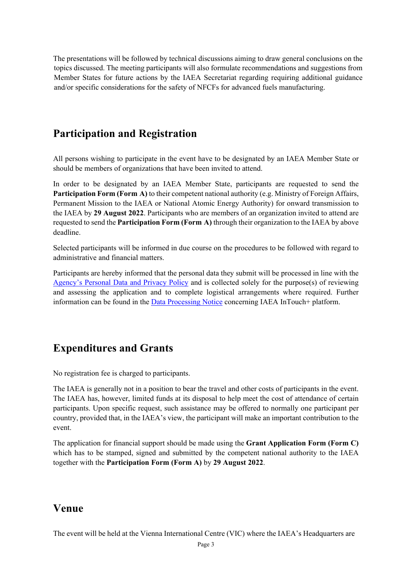The presentations will be followed by technical discussions aiming to draw general conclusions on the topics discussed. The meeting participants will also formulate recommendations and suggestions from Member States for future actions by the IAEA Secretariat regarding requiring additional guidance and/or specific considerations for the safety of NFCFs for advanced fuels manufacturing.

### **Participation and Registration**

All persons wishing to participate in the event have to be designated by an IAEA Member State or should be members of organizations that have been invited to attend.

In order to be designated by an IAEA Member State, participants are requested to send the **Participation Form (Form A)** to their competent national authority (e.g. Ministry of Foreign Affairs, Permanent Mission to the IAEA or National Atomic Energy Authority) for onward transmission to the IAEA by **29 August 2022**. Participants who are members of an organization invited to attend are requested to send the **Participation Form (Form A)** through their organization to the IAEA by above deadline.

Selected participants will be informed in due course on the procedures to be followed with regard to administrative and financial matters.

Participants are hereby informed that the personal data they submit will be processed in line with the Agency's Personal Data and Privacy Policy and is collected solely for the purpose(s) of reviewing and assessing the application and to complete logistical arrangements where required. Further information can be found in the Data Processing Notice concerning IAEA InTouch+ platform.

### **Expenditures and Grants**

No registration fee is charged to participants.

The IAEA is generally not in a position to bear the travel and other costs of participants in the event. The IAEA has, however, limited funds at its disposal to help meet the cost of attendance of certain participants. Upon specific request, such assistance may be offered to normally one participant per country, provided that, in the IAEA's view, the participant will make an important contribution to the event.

The application for financial support should be made using the **Grant Application Form (Form C)** which has to be stamped, signed and submitted by the competent national authority to the IAEA together with the **Participation Form (Form A)** by **29 August 2022**.

### **Venue**

The event will be held at the Vienna International Centre (VIC) where the IAEA's Headquarters are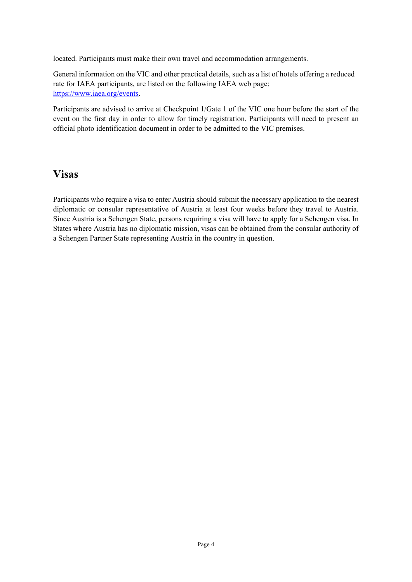located. Participants must make their own travel and accommodation arrangements.

General information on the VIC and other practical details, such as a list of hotels offering a reduced rate for IAEA participants, are listed on the following IAEA web page: https://www.iaea.org/events.

Participants are advised to arrive at Checkpoint 1/Gate 1 of the VIC one hour before the start of the event on the first day in order to allow for timely registration. Participants will need to present an official photo identification document in order to be admitted to the VIC premises.

### **Visas**

Participants who require a visa to enter Austria should submit the necessary application to the nearest diplomatic or consular representative of Austria at least four weeks before they travel to Austria. Since Austria is a Schengen State, persons requiring a visa will have to apply for a Schengen visa. In States where Austria has no diplomatic mission, visas can be obtained from the consular authority of a Schengen Partner State representing Austria in the country in question.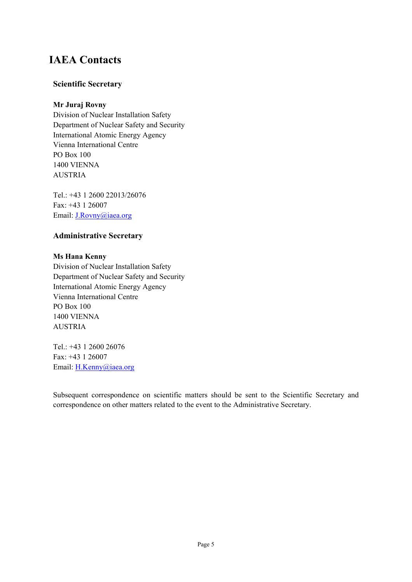# **IAEA Contacts**

#### **Scientific Secretary**

#### **Mr Juraj Rovny**

Division of Nuclear Installation Safety Department of Nuclear Safety and Security International Atomic Energy Agency Vienna International Centre PO Box 100 1400 VIENNA AUSTRIA

Tel.: +43 1 2600 22013/26076 Fax: +43 1 26007 Email: J.Rovny@iaea.org

#### **Administrative Secretary**

#### **Ms Hana Kenny**

Division of Nuclear Installation Safety Department of Nuclear Safety and Security International Atomic Energy Agency Vienna International Centre PO Box 100 1400 VIENNA AUSTRIA

Tel.: +43 1 2600 26076 Fax: +43 1 26007 Email: H.Kenny@iaea.org

Subsequent correspondence on scientific matters should be sent to the Scientific Secretary and correspondence on other matters related to the event to the Administrative Secretary.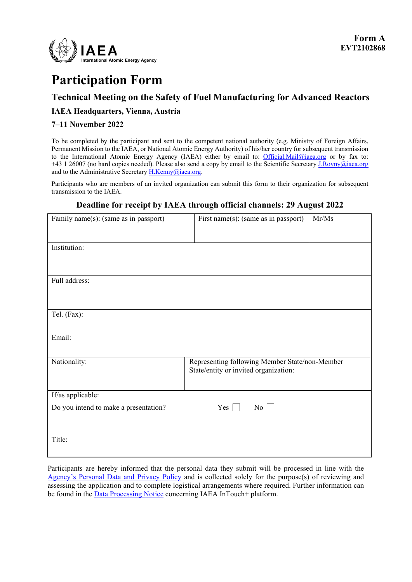

# **Participation Form**

#### **Technical Meeting on the Safety of Fuel Manufacturing for Advanced Reactors**

#### **IAEA Headquarters, Vienna, Austria**

#### **7–11 November 2022**

To be completed by the participant and sent to the competent national authority (e.g. Ministry of Foreign Affairs, Permanent Mission to the IAEA, or National Atomic Energy Authority) of his/her country for subsequent transmission to the International Atomic Energy Agency (IAEA) either by email to: Official.Mail@iaea.org or by fax to: +43 1 26007 (no hard copies needed). Please also send a copy by email to the Scientific Secretary J.Rovny@iaea.org and to the Administrative Secretary H.Kenny@iaea.org.

Participants who are members of an invited organization can submit this form to their organization for subsequent transmission to the IAEA.

#### **Deadline for receipt by IAEA through official channels: 29 August 2022**

| Family name(s): (same as in passport) | First name(s): (same as in passport)                                                    | Mr/Ms |
|---------------------------------------|-----------------------------------------------------------------------------------------|-------|
|                                       |                                                                                         |       |
| Institution:                          |                                                                                         |       |
|                                       |                                                                                         |       |
| Full address:                         |                                                                                         |       |
|                                       |                                                                                         |       |
|                                       |                                                                                         |       |
| Tel. (Fax):                           |                                                                                         |       |
|                                       |                                                                                         |       |
| Email:                                |                                                                                         |       |
|                                       |                                                                                         |       |
| Nationality:                          | Representing following Member State/non-Member<br>State/entity or invited organization: |       |
|                                       |                                                                                         |       |
| If/as applicable:                     |                                                                                         |       |
| Do you intend to make a presentation? | Yes $\Box$<br>$\overline{N_0}$                                                          |       |
|                                       |                                                                                         |       |
|                                       |                                                                                         |       |
| Title:                                |                                                                                         |       |
|                                       |                                                                                         |       |

Participants are hereby informed that the personal data they submit will be processed in line with the Agency's Personal Data and Privacy Policy and is collected solely for the purpose(s) of reviewing and assessing the application and to complete logistical arrangements where required. Further information can be found in the **Data Processing Notice** concerning IAEA InTouch+ platform.